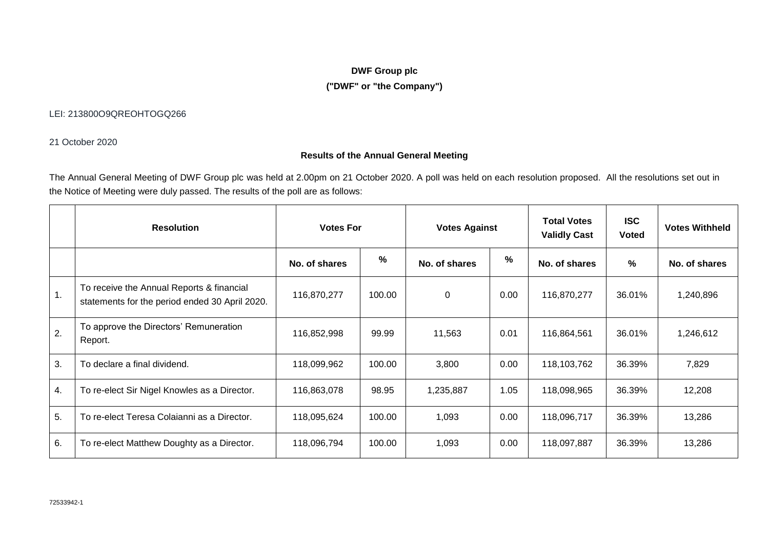# **DWF Group plc**

## **("DWF" or "the Company")**

## LEI: 213800O9QREOHTOGQ266

21 October 2020

## **Results of the Annual General Meeting**

The Annual General Meeting of DWF Group plc was held at 2.00pm on 21 October 2020. A poll was held on each resolution proposed. All the resolutions set out in the Notice of Meeting were duly passed. The results of the poll are as follows:

|                  | <b>Resolution</b>                                                                           | <b>Votes For</b> |        | <b>Votes Against</b> |      | <b>Total Votes</b><br><b>Validly Cast</b> | <b>ISC</b><br><b>Voted</b> | <b>Votes Withheld</b> |
|------------------|---------------------------------------------------------------------------------------------|------------------|--------|----------------------|------|-------------------------------------------|----------------------------|-----------------------|
|                  |                                                                                             | No. of shares    | %      | No. of shares        | %    | No. of shares                             | %                          | No. of shares         |
| $\mathbf 1$ .    | To receive the Annual Reports & financial<br>statements for the period ended 30 April 2020. | 116,870,277      | 100.00 | 0                    | 0.00 | 116,870,277                               | 36.01%                     | 1,240,896             |
| $\overline{2}$ . | To approve the Directors' Remuneration<br>Report.                                           | 116,852,998      | 99.99  | 11,563               | 0.01 | 116,864,561                               | 36.01%                     | 1,246,612             |
| 3.               | To declare a final dividend.                                                                | 118,099,962      | 100.00 | 3,800                | 0.00 | 118,103,762                               | 36.39%                     | 7,829                 |
| 4.               | To re-elect Sir Nigel Knowles as a Director.                                                | 116,863,078      | 98.95  | 1,235,887            | 1.05 | 118,098,965                               | 36.39%                     | 12,208                |
| 5.               | To re-elect Teresa Colaianni as a Director.                                                 | 118,095,624      | 100.00 | 1,093                | 0.00 | 118,096,717                               | 36.39%                     | 13,286                |
| 6.               | To re-elect Matthew Doughty as a Director.                                                  | 118,096,794      | 100.00 | 1,093                | 0.00 | 118,097,887                               | 36.39%                     | 13,286                |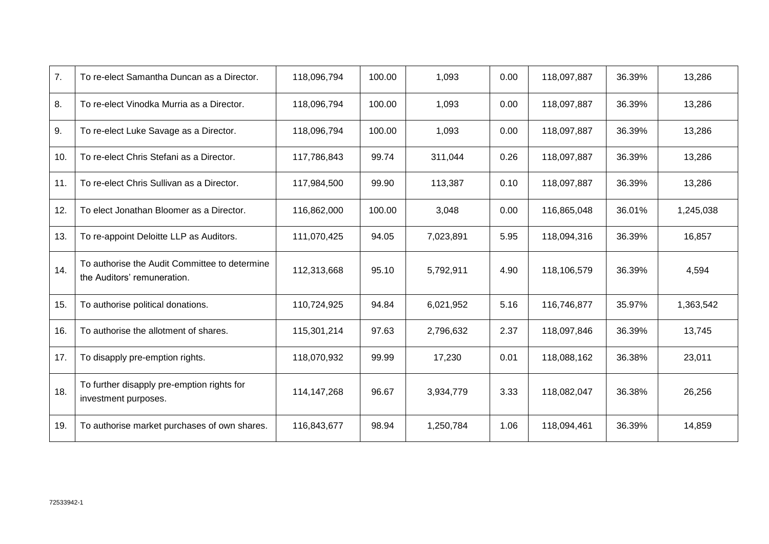| 7.  | To re-elect Samantha Duncan as a Director.                                   | 118,096,794 | 100.00 | 1,093     | 0.00 | 118,097,887 | 36.39% | 13,286    |
|-----|------------------------------------------------------------------------------|-------------|--------|-----------|------|-------------|--------|-----------|
| 8.  | To re-elect Vinodka Murria as a Director.                                    | 118,096,794 | 100.00 | 1,093     | 0.00 | 118,097,887 | 36.39% | 13,286    |
| 9.  | To re-elect Luke Savage as a Director.                                       | 118,096,794 | 100.00 | 1,093     | 0.00 | 118,097,887 | 36.39% | 13,286    |
| 10. | To re-elect Chris Stefani as a Director.                                     | 117,786,843 | 99.74  | 311,044   | 0.26 | 118,097,887 | 36.39% | 13,286    |
| 11. | To re-elect Chris Sullivan as a Director.                                    | 117,984,500 | 99.90  | 113,387   | 0.10 | 118,097,887 | 36.39% | 13,286    |
| 12. | To elect Jonathan Bloomer as a Director.                                     | 116,862,000 | 100.00 | 3,048     | 0.00 | 116,865,048 | 36.01% | 1,245,038 |
| 13. | To re-appoint Deloitte LLP as Auditors.                                      | 111,070,425 | 94.05  | 7,023,891 | 5.95 | 118,094,316 | 36.39% | 16,857    |
| 14. | To authorise the Audit Committee to determine<br>the Auditors' remuneration. | 112,313,668 | 95.10  | 5,792,911 | 4.90 | 118,106,579 | 36.39% | 4,594     |
| 15. | To authorise political donations.                                            | 110,724,925 | 94.84  | 6,021,952 | 5.16 | 116,746,877 | 35.97% | 1,363,542 |
| 16. | To authorise the allotment of shares.                                        | 115,301,214 | 97.63  | 2,796,632 | 2.37 | 118,097,846 | 36.39% | 13,745    |
| 17. | To disapply pre-emption rights.                                              | 118,070,932 | 99.99  | 17,230    | 0.01 | 118,088,162 | 36.38% | 23,011    |
| 18. | To further disapply pre-emption rights for<br>investment purposes.           | 114,147,268 | 96.67  | 3,934,779 | 3.33 | 118,082,047 | 36.38% | 26,256    |
| 19. | To authorise market purchases of own shares.                                 | 116,843,677 | 98.94  | 1,250,784 | 1.06 | 118,094,461 | 36.39% | 14,859    |